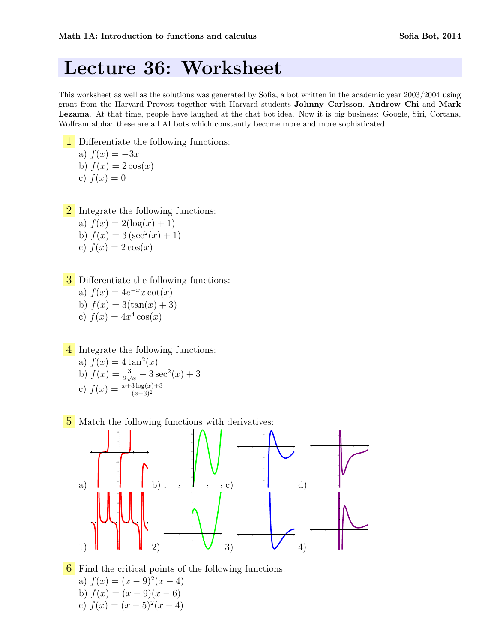# Lecture 36: Worksheet

This worksheet as well as the solutions was generated by Sofia, a bot written in the academic year 2003/2004 using grant from the Harvard Provost together with Harvard students Johnny Carlsson, Andrew Chi and Mark Lezama. At that time, people have laughed at the chat bot idea. Now it is big business: Google, Siri, Cortana, Wolfram alpha: these are all AI bots which constantly become more and more sophisticated.

- 1 Differentiate the following functions: a)  $f(x) = -3x$ b)  $f(x) = 2 \cos(x)$ c)  $f(x) = 0$
- 2 Integrate the following functions: a)  $f(x) = 2(\log(x) + 1)$ 
	- b)  $f(x) = 3(\sec^2(x) + 1)$ c)  $f(x) = 2 \cos(x)$

**3** Differentiate the following functions:

a)  $f(x) = 4e^{-x}x \cot(x)$ b)  $f(x) = 3(\tan(x) + 3)$ c)  $f(x) = 4x^4 \cos(x)$ 

4 Integrate the following functions:

a) 
$$
f(x) = 4 \tan^2(x)
$$
  
b)  $f(x) = \frac{3}{2\sqrt{x}} - 3\sec^2(x) + 3$   
c)  $f(x) = \frac{x+3\log(x)+3}{(x+3)^2}$ 

5 Match the following functions with derivatives:



6 Find the critical points of the following functions: a)  $f(x) = (x - 9)^2(x - 4)$ b)  $f(x) = (x - 9)(x - 6)$ c)  $f(x) = (x-5)^2(x-4)$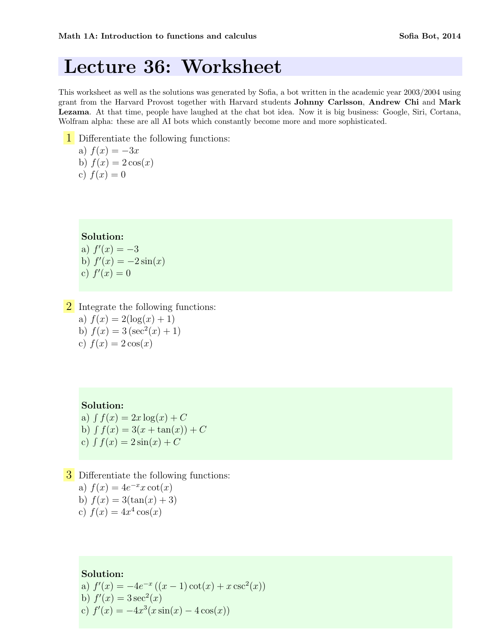## Lecture 36: Worksheet

This worksheet as well as the solutions was generated by Sofia, a bot written in the academic year 2003/2004 using grant from the Harvard Provost together with Harvard students Johnny Carlsson, Andrew Chi and Mark Lezama. At that time, people have laughed at the chat bot idea. Now it is big business: Google, Siri, Cortana, Wolfram alpha: these are all AI bots which constantly become more and more sophisticated.

1 Differentiate the following functions: a)  $f(x) = -3x$ b)  $f(x) = 2 \cos(x)$ c)  $f(x) = 0$ 

#### Solution:

a)  $f'(x) = -3$ b)  $f'(x) = -2\sin(x)$ c)  $f'(x) = 0$ 

2 Integrate the following functions: a)  $f(x) = 2(\log(x) + 1)$ b)  $f(x) = 3(\sec^2(x) + 1)$ c)  $f(x) = 2 \cos(x)$ 

#### Solution:

a)  $\int f(x) = 2x \log(x) + C$ b)  $\int f(x) = 3(x + \tan(x)) + C$ c)  $\int f(x) = 2 \sin(x) + C$ 

**3** Differentiate the following functions: a)  $f(x) = 4e^{-x}x \cot(x)$ b)  $f(x) = 3(\tan(x) + 3)$ c)  $f(x) = 4x^4 \cos(x)$ 

Solution:

a)  $f'(x) = -4e^{-x}((x-1)\cot(x) + x\csc^2(x))$ b)  $f'(x) = 3 \sec^2(x)$ c)  $f'(x) = -4x^3(x \sin(x) - 4\cos(x))$